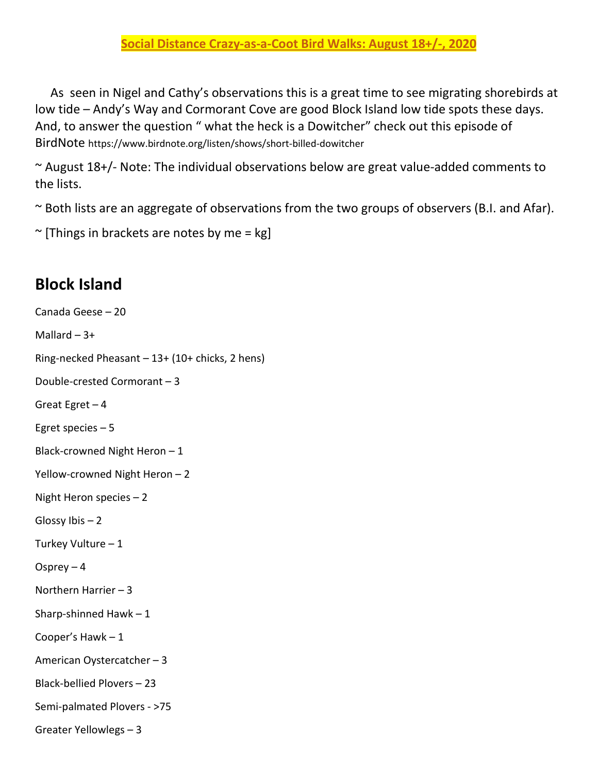As seen in Nigel and Cathy's observations this is a great time to see migrating shorebirds at low tide – Andy's Way and Cormorant Cove are good Block Island low tide spots these days. And, to answer the question " what the heck is a Dowitcher" check out this episode of BirdNote https://www.birdnote.org/listen/shows/short-billed-dowitcher

 $\sim$  August 18+/- Note: The individual observations below are great value-added comments to the lists.

~ Both lists are an aggregate of observations from the two groups of observers (B.I. and Afar).

```
\sim [Things in brackets are notes by me = kg]
```
## **Block Island**

Canada Geese – 20 Mallard  $-3+$ Ring-necked Pheasant – 13+ (10+ chicks, 2 hens) Double-crested Cormorant – 3 Great Egret  $-4$ Egret species – 5 Black-crowned Night Heron – 1 Yellow-crowned Night Heron – 2 Night Heron species – 2 Glossy Ibis – 2 Turkey Vulture – 1 Osprey  $-4$ Northern Harrier – 3 Sharp-shinned Hawk  $-1$ Cooper's Hawk – 1 American Oystercatcher – 3 Black-bellied Plovers – 23 Semi-palmated Plovers - >75 Greater Yellowlegs – 3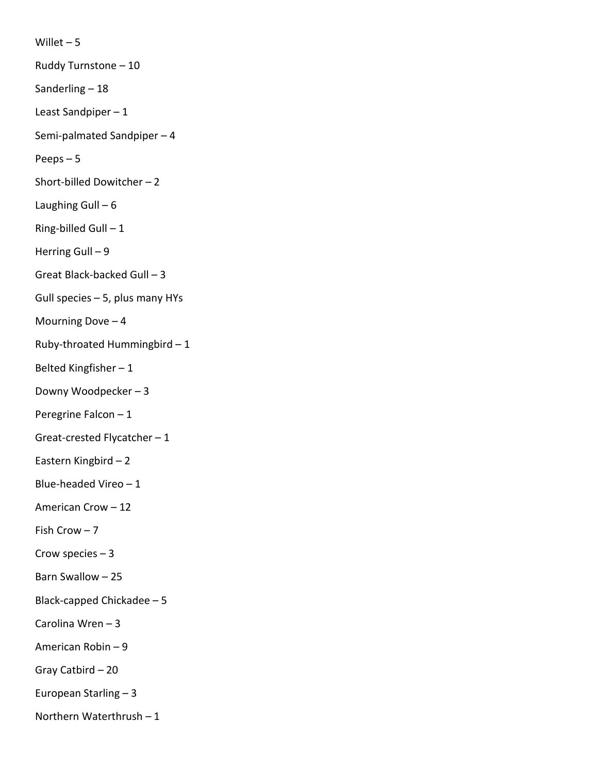Willet  $-5$ 

Ruddy Turnstone – 10

Sanderling – 18

Least Sandpiper – 1

Semi-palmated Sandpiper – 4

Peeps – 5

Short-billed Dowitcher – 2

Laughing Gull  $-6$ 

Ring-billed Gull  $-1$ 

Herring Gull – 9

Great Black-backed Gull – 3

Gull species – 5, plus many HYs

Mourning Dove  $-4$ 

Ruby-throated Hummingbird – 1

Belted Kingfisher – 1

Downy Woodpecker – 3

Peregrine Falcon – 1

Great-crested Flycatcher – 1

Eastern Kingbird – 2

Blue-headed Vireo – 1

American Crow – 12

Fish Crow – 7

Crow species  $-3$ 

Barn Swallow – 25

Black-capped Chickadee – 5

Carolina Wren – 3

American Robin – 9

Gray Catbird – 20

European Starling – 3

Northern Waterthrush – 1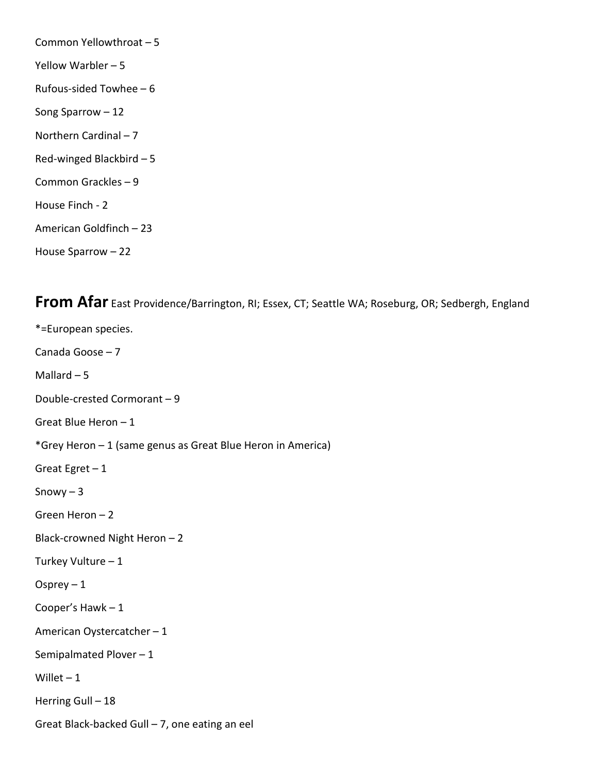Common Yellowthroat – 5 Yellow Warbler – 5 Rufous-sided Towhee – 6 Song Sparrow – 12 Northern Cardinal – 7 Red-winged Blackbird – 5 Common Grackles – 9 House Finch - 2 American Goldfinch – 23 House Sparrow – 22

**From Afar** East Providence/Barrington, RI; Essex, CT; Seattle WA; Roseburg, OR; Sedbergh, England

\*=European species. Canada Goose – 7 Mallard  $-5$ Double-crested Cormorant – 9 Great Blue Heron – 1 \*Grey Heron – 1 (same genus as Great Blue Heron in America) Great Egret  $-1$ Snowy  $-3$ Green Heron – 2 Black-crowned Night Heron – 2 Turkey Vulture – 1 Osprey  $-1$ Cooper's Hawk – 1 American Oystercatcher – 1 Semipalmated Plover – 1 Willet  $-1$ Herring Gull - 18 Great Black-backed Gull – 7, one eating an eel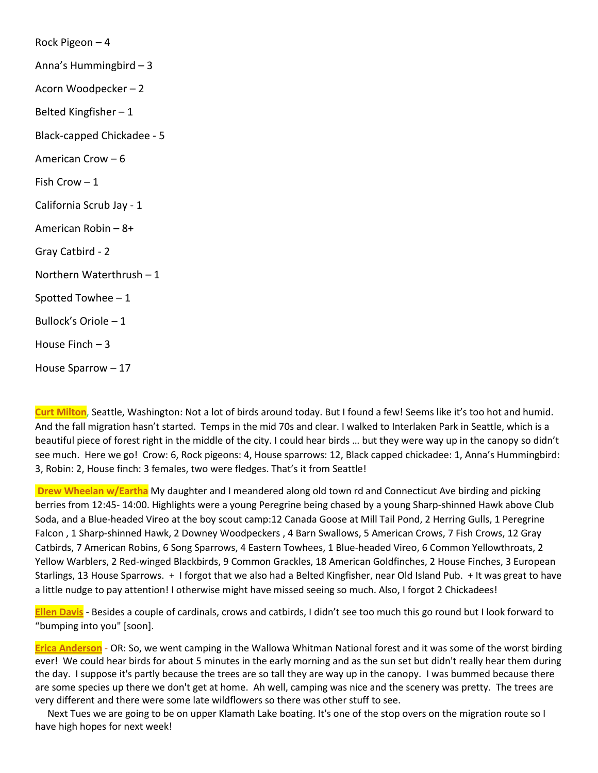Rock Pigeon – 4 Anna's Hummingbird – 3 Acorn Woodpecker – 2 Belted Kingfisher – 1 Black-capped Chickadee - 5 American Crow – 6 Fish Crow – 1 California Scrub Jay - 1 American Robin – 8+ Gray Catbird - 2 Northern Waterthrush – 1 Spotted Towhee – 1 Bullock's Oriole – 1 House Finch – 3 House Sparrow – 17

**Curt Milton**, Seattle, Washington: Not a lot of birds around today. But I found a few! Seems like it's too hot and humid. And the fall migration hasn't started. Temps in the mid 70s and clear. I walked to Interlaken Park in Seattle, which is a beautiful piece of forest right in the middle of the city. I could hear birds … but they were way up in the canopy so didn't see much. Here we go! Crow: 6, Rock pigeons: 4, House sparrows: 12, Black capped chickadee: 1, Anna's Hummingbird: 3, Robin: 2, House finch: 3 females, two were fledges. That's it from Seattle!

**Drew Wheelan w/Eartha** My daughter and I meandered along old town rd and Connecticut Ave birding and picking berries from 12:45- 14:00. Highlights were a young Peregrine being chased by a young Sharp-shinned Hawk above Club Soda, and a Blue-headed Vireo at the boy scout camp:12 Canada Goose at Mill Tail Pond, 2 Herring Gulls, 1 Peregrine Falcon , 1 Sharp-shinned Hawk, 2 Downey Woodpeckers , 4 Barn Swallows, 5 American Crows, 7 Fish Crows, 12 Gray Catbirds, 7 American Robins, 6 Song Sparrows, 4 Eastern Towhees, 1 Blue-headed Vireo, 6 Common Yellowthroats, 2 Yellow Warblers, 2 Red-winged Blackbirds, 9 Common Grackles, 18 American Goldfinches, 2 House Finches, 3 European Starlings, 13 House Sparrows. + I forgot that we also had a Belted Kingfisher, near Old Island Pub. + It was great to have a little nudge to pay attention! I otherwise might have missed seeing so much. Also, I forgot 2 Chickadees!

**Ellen Davis** - Besides a couple of cardinals, crows and catbirds, I didn't see too much this go round but I look forward to "bumping into you" [soon].

**Erica Anderson** - OR: So, we went camping in the Wallowa Whitman National forest and it was some of the worst birding ever! We could hear birds for about 5 minutes in the early morning and as the sun set but didn't really hear them during the day. I suppose it's partly because the trees are so tall they are way up in the canopy. I was bummed because there are some species up there we don't get at home. Ah well, camping was nice and the scenery was pretty. The trees are very different and there were some late wildflowers so there was other stuff to see.

 Next Tues we are going to be on upper Klamath Lake boating. It's one of the stop overs on the migration route so I have high hopes for next week!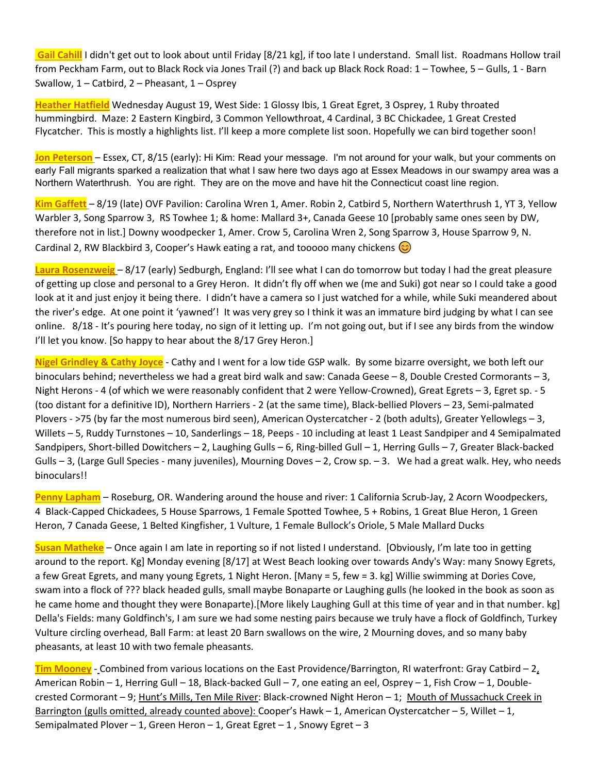**Gail Cahill** I didn't get out to look about until Friday [8/21 kg], if too late I understand. Small list. Roadmans Hollow trail from Peckham Farm, out to Black Rock via Jones Trail (?) and back up Black Rock Road: 1 – Towhee, 5 – Gulls, 1 - Barn Swallow, 1 – Catbird, 2 – Pheasant, 1 – Osprey

**Heather Hatfield** Wednesday August 19, West Side: 1 Glossy Ibis, 1 Great Egret, 3 Osprey, 1 Ruby throated hummingbird. Maze: 2 Eastern Kingbird, 3 Common Yellowthroat, 4 Cardinal, 3 BC Chickadee, 1 Great Crested Flycatcher. This is mostly a highlights list. I'll keep a more complete list soon. Hopefully we can bird together soon!

**Jon Peterson** – Essex, CT, 8/15 (early): Hi Kim: Read your message. I'm not around for your walk, but your comments on early Fall migrants sparked a realization that what I saw here two days ago at Essex Meadows in our swampy area was a Northern Waterthrush. You are right. They are on the move and have hit the Connecticut coast line region.

**Kim Gaffett** – 8/19 (late) OVF Pavilion: Carolina Wren 1, Amer. Robin 2, Catbird 5, Northern Waterthrush 1, YT 3, Yellow Warbler 3, Song Sparrow 3, RS Towhee 1; & home: Mallard 3+, Canada Geese 10 [probably same ones seen by DW, therefore not in list.] Downy woodpecker 1, Amer. Crow 5, Carolina Wren 2, Song Sparrow 3, House Sparrow 9, N. Cardinal 2, RW Blackbird 3, Cooper's Hawk eating a rat, and tooooo many chickens  $\odot$ 

**Laura Rosenzweig** – 8/17 (early) Sedburgh, England: I'll see what I can do tomorrow but today I had the great pleasure of getting up close and personal to a Grey Heron. It didn't fly off when we (me and Suki) got near so I could take a good look at it and just enjoy it being there. I didn't have a camera so I just watched for a while, while Suki meandered about the river's edge. At one point it 'yawned'! It was very grey so I think it was an immature bird judging by what I can see online. 8/18 - It's pouring here today, no sign of it letting up. I'm not going out, but if I see any birds from the window I'll let you know. [So happy to hear about the 8/17 Grey Heron.]

**Nigel Grindley & Cathy Joyce** - Cathy and I went for a low tide GSP walk. By some bizarre oversight, we both left our binoculars behind; nevertheless we had a great bird walk and saw: Canada Geese – 8, Double Crested Cormorants – 3, Night Herons - 4 (of which we were reasonably confident that 2 were Yellow-Crowned), Great Egrets – 3, Egret sp. - 5 (too distant for a definitive ID), Northern Harriers - 2 (at the same time), Black-bellied Plovers – 23, Semi-palmated Plovers - >75 (by far the most numerous bird seen), American Oystercatcher - 2 (both adults), Greater Yellowlegs – 3, Willets – 5, Ruddy Turnstones – 10, Sanderlings – 18, Peeps - 10 including at least 1 Least Sandpiper and 4 Semipalmated Sandpipers, Short-billed Dowitchers – 2, Laughing Gulls – 6, Ring-billed Gull – 1, Herring Gulls – 7, Greater Black-backed Gulls – 3, (Large Gull Species - many juveniles), Mourning Doves – 2, Crow sp. – 3. We had a great walk. Hey, who needs binoculars!!

**Penny Lapham** – Roseburg, OR. Wandering around the house and river: 1 California Scrub-Jay, 2 Acorn Woodpeckers, 4 Black-Capped Chickadees, 5 House Sparrows, 1 Female Spotted Towhee, 5 + Robins, 1 Great Blue Heron, 1 Green Heron, 7 Canada Geese, 1 Belted Kingfisher, 1 Vulture, 1 Female Bullock's Oriole, 5 Male Mallard Ducks

**Susan Matheke** – Once again I am late in reporting so if not listed I understand. [Obviously, I'm late too in getting around to the report. Kg] Monday evening [8/17] at West Beach looking over towards Andy's Way: many Snowy Egrets, a few Great Egrets, and many young Egrets, 1 Night Heron. [Many = 5, few = 3. kg] Willie swimming at Dories Cove, swam into a flock of ??? black headed gulls, small maybe Bonaparte or Laughing gulls (he looked in the book as soon as he came home and thought they were Bonaparte).[More likely Laughing Gull at this time of year and in that number. kg] Della's Fields: many Goldfinch's, I am sure we had some nesting pairs because we truly have a flock of Goldfinch, Turkey Vulture circling overhead, Ball Farm: at least 20 Barn swallows on the wire, 2 Mourning doves, and so many baby pheasants, at least 10 with two female pheasants.

**Tim Mooney** - Combined from various locations on the East Providence/Barrington, RI waterfront: Gray Catbird – 2, American Robin – 1, Herring Gull – 18, Black-backed Gull – 7, one eating an eel, Osprey – 1, Fish Crow – 1, Doublecrested Cormorant - 9; Hunt's Mills, Ten Mile River: Black-crowned Night Heron - 1; Mouth of Mussachuck Creek in Barrington (gulls omitted, already counted above): Cooper's Hawk – 1, American Oystercatcher – 5, Willet – 1, Semipalmated Plover – 1, Green Heron – 1, Great Egret – 1, Snowy Egret – 3